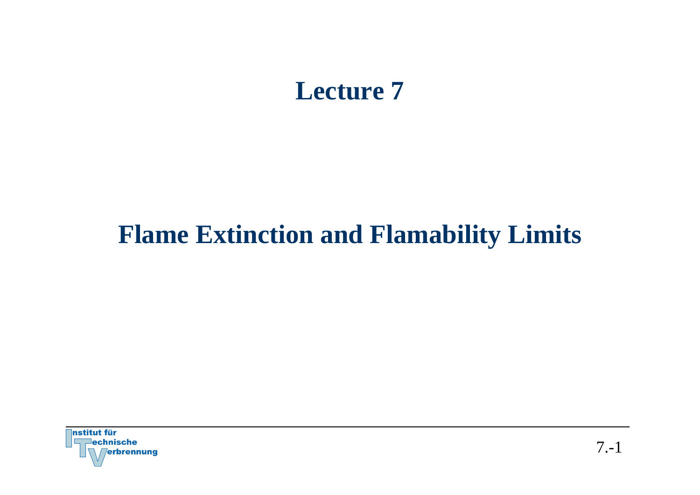## **Lecture 7**

## **Flame Extinction and Flamability Limits**

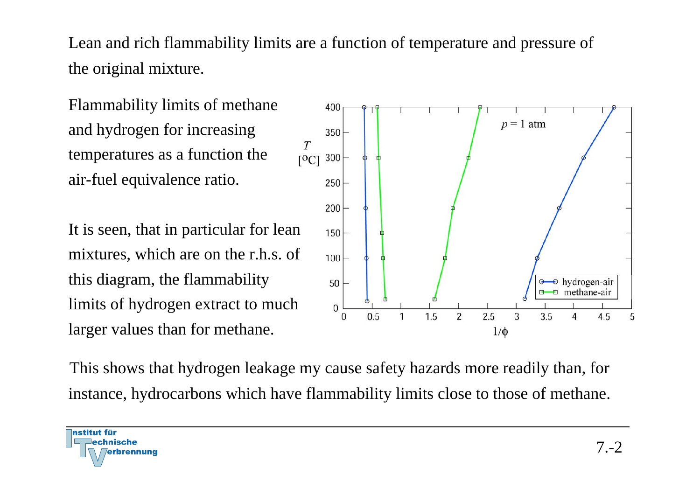Lean and rich flammability limits are a function of temperature and pressure of the original mixture.

Flammability limits of methane and hydrogen for increasing temperatures as a function the air-fuel equivalence ratio.

It is seen, that in particular for lean mixtures, which are on the r.h.s. of this diagram, the flammability limits of hydrogen extract to much larger values than for methane.



This shows that hydrogen leakage my cause safety hazards more readily than, for instance, hydrocarbons which have flammability limits close to those of methane.

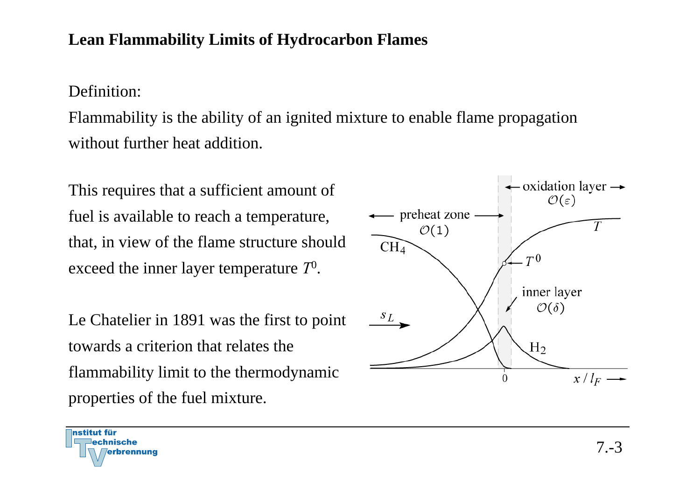## **Lean Flammability Limits of Hydrocarbon Flames**

Definition:

Flammability is the ability of an ignited mixture to enable flame propagation without further heat addition.

This requires that a sufficient amount of fuel is available to reach a temperature, that, in view of the flame structure should exceed the inner layer temperature *T*0.

Le Chatelier in 1891 was the first to point towards a criterion that relates the flammability limit to the thermodynamic properties of the fuel mixture.



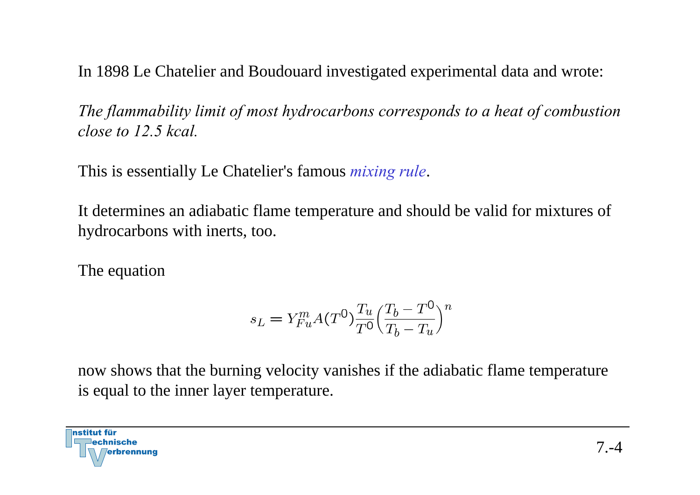In 1898 Le Chatelier and Boudouard investigated experimental data and wrote:

*The flammability limit of most hydrocarbons corresponds to a heat of combustion close to 12.5 kcal.*

This is essentially Le Chatelier's famous *mixing rule*.

It determines an adiabatic flame temperature and should be valid for mixtures of hydrocarbons with inerts, too.

The equation

$$
s_L = Y_{Fu}^m A(T^0) \frac{T_u}{T^0} \left(\frac{T_b - T^0}{T_b - T_u}\right)^n
$$

now shows that the burning velocity vanishes if the adiabatic flame temperature is equal to the inner layer temperature.

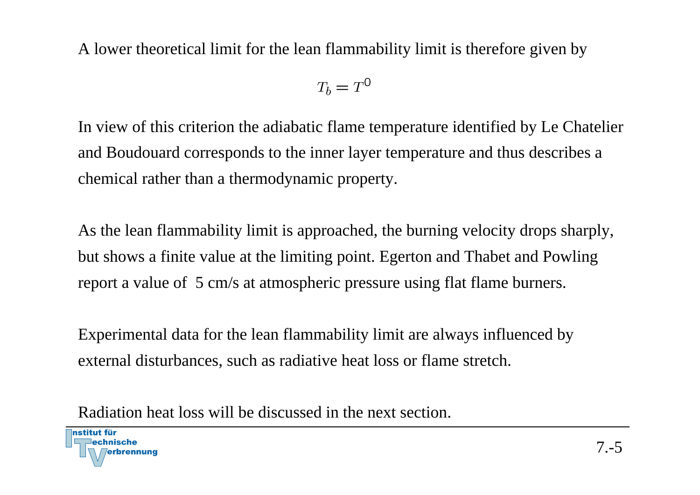A lower theoretical limit for the lean flammability limit is therefore given by

$$
T_b = T^0
$$

In view of this criterion the adiabatic flame temperature identified by Le Chatelier and Boudouard corresponds to the inner layer temperature and thus describes a chemical rather than a thermodynamic property.

As the lean flammability limit is approached, the burning velocity drops sharply, but shows a finite value at the limiting point. Egerton and Thabet and Powling report a value of 5 cm/s at atmospheric pressure using flat flame burners.

Experimental data for the lean flammability limit are always influenced by external disturbances, such as radiative heat loss or flame stretch.

Radiation heat loss will be discussed in the next section.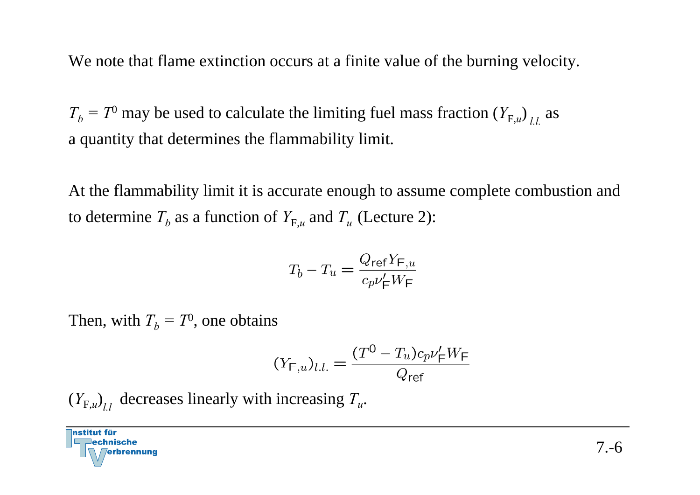We note that flame extinction occurs at a finite value of the burning velocity.

 $T_b = T^0$  may be used to calculate the limiting fuel mass fraction  $(Y_{F,u})_{l,l}$  as a quantity that determines the flammability limit.

At the flammability limit it is accurate enough to assume complete combustion and to determine  $T_b$  as a function of  $Y_{F,u}$  and  $T_u$  (Lecture 2):

$$
T_b - T_u = \frac{Q_{\text{ref}} Y_{\text{F},u}}{c_p v_{\text{F}}' W_{\text{F}}}
$$

Then, with  $T_b = T^0$ , one obtains

$$
(Y_{\mathsf{F},u})_{l.l.} = \frac{(T^0 - T_u)c_p\nu_{\mathsf{F}}'W_{\mathsf{F}}}{Q_{\mathsf{ref}}}
$$

 $(Y_{F,u})$ <sub>ll</sub> decreases linearly with increasing  $T_u$ .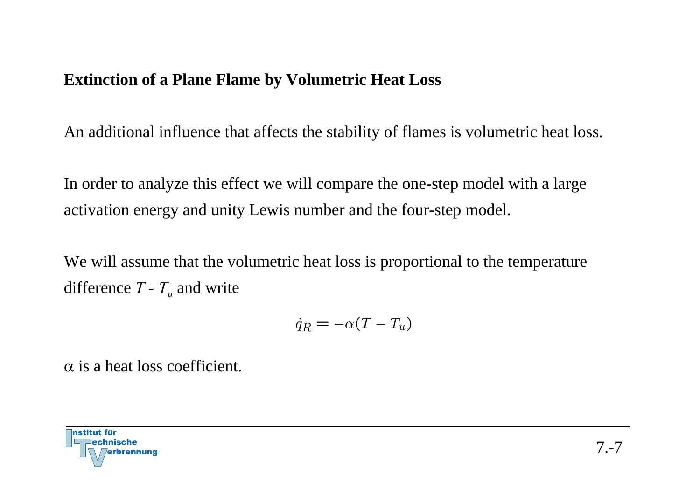## **Extinction of a Plane Flame by Volumetric Heat Loss**

An additional influence that affects the stability of flames is volumetric heat loss.

In order to analyze this effect we will compare the one-step model with a large activation energy and unity Lewis number and the four-step model.

We will assume that the volumetric heat loss is proportional to the temperature difference *T - Tu* and write

$$
\dot{q}_R = -\alpha (T - T_u)
$$

α is a heat loss coefficient.

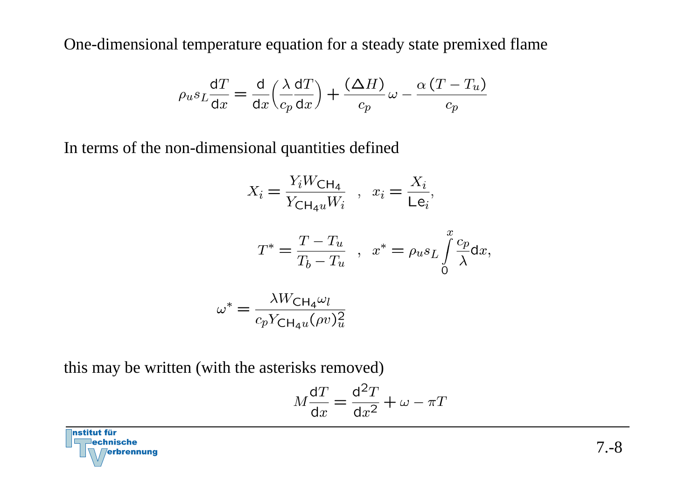One-dimensional temperature equation for a steady state premixed flame

$$
\rho_u s_L \frac{dT}{dx} = \frac{d}{dx} \left( \frac{\lambda}{c_p} \frac{dT}{dx} \right) + \frac{(\Delta H)}{c_p} \omega - \frac{\alpha (T - T_u)}{c_p}
$$

In terms of the non-dimensional quantities defined

$$
X_i = \frac{Y_i W_{\text{CH}_4}}{Y_{\text{CH}_4 u} W_i} \quad , \quad x_i = \frac{X_i}{\text{Le}_i},
$$

$$
T^* = \frac{T - T_u}{T_b - T_u} \quad , \quad x^* = \rho_u s_L \int\limits_0^x \frac{c_p}{\lambda} \mathrm{d}x,
$$

$$
\omega^* = \frac{\lambda W_{\text{CH}_4} \omega_l}{c_p Y_{\text{CH}_4 u} (\rho v)_u^2}
$$

this may be written (with the asterisks removed)

$$
M\frac{\mathrm{d}T}{\mathrm{d}x} = \frac{\mathrm{d}^2T}{\mathrm{d}x^2} + \omega - \pi T
$$

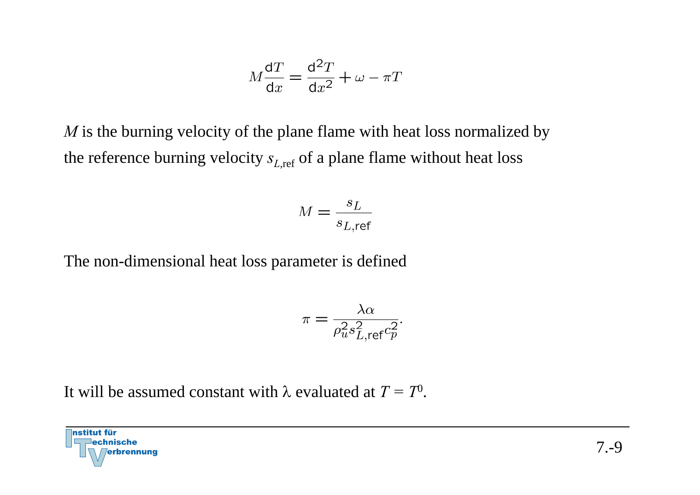$$
M\frac{\mathrm{d}T}{\mathrm{d}x} = \frac{\mathrm{d}^2T}{\mathrm{d}x^2} + \omega - \pi T
$$

*M* is the burning velocity of the plane flame with heat loss normalized by the reference burning velocity  $s_{L,ref}$  of a plane flame without heat loss

$$
M = \frac{s_L}{s_{L, \text{ref}}}
$$

The non-dimensional heat loss parameter is defined

$$
\pi = \frac{\lambda \alpha}{\rho_u^2 s_{L, \text{ref}}^2 c_p^2}.
$$

It will be assumed constant with λ evaluated at *T = T*0.

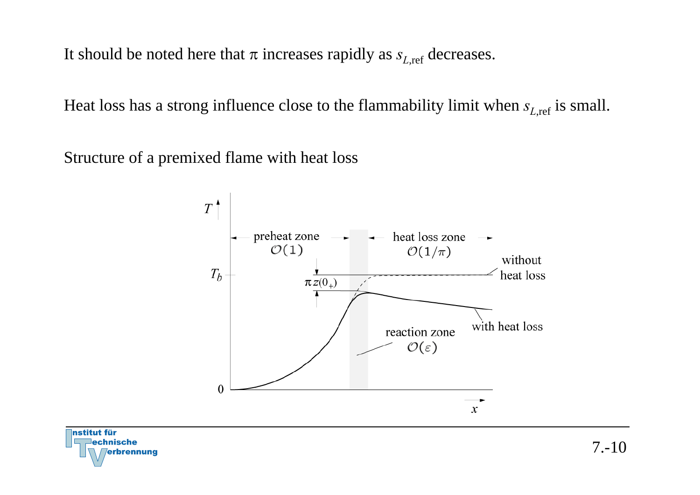It should be noted here that  $\pi$  increases rapidly as  $s_{Lref}$  decreases.

Heat loss has a strong influence close to the flammability limit when  $s_{L,ref}$  is small.

Structure of a premixed flame with heat loss



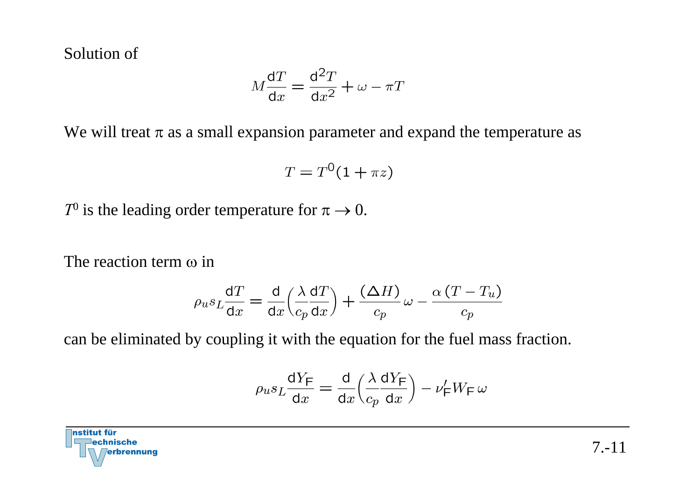Solution of

$$
M\frac{\mathrm{d}T}{\mathrm{d}x} = \frac{\mathrm{d}^2T}{\mathrm{d}x^2} + \omega - \pi T
$$

We will treat  $\pi$  as a small expansion parameter and expand the temperature as

$$
T = T^0(1 + \pi z)
$$

*T*<sup>0</sup> is the leading order temperature for  $\pi \rightarrow 0$ .

The reaction term ω in

$$
\rho_u s_L \frac{dT}{dx} = \frac{d}{dx} \left( \frac{\lambda}{c_p} \frac{dT}{dx} \right) + \frac{(\Delta H)}{c_p} \omega - \frac{\alpha (T - T_u)}{c_p}
$$

can be eliminated by coupling it with the equation for the fuel mass fraction.

$$
\rho_u s_L \frac{\mathrm{d} Y_\mathrm{F}}{\mathrm{d} x} = \frac{\mathrm{d}}{\mathrm{d} x} \Bigl( \frac{\lambda}{c_p} \frac{\mathrm{d} Y_\mathrm{F}}{\mathrm{d} x} \Bigr) - \nu'_\mathrm{F} W_\mathrm{F} \, \omega
$$

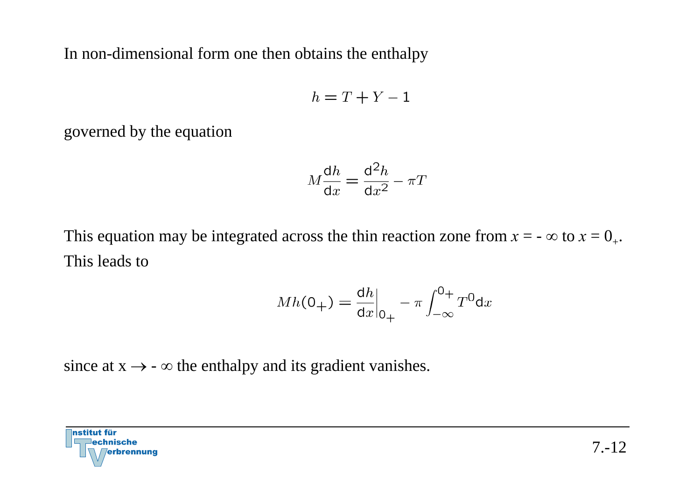In non-dimensional form one then obtains the enthalpy

$$
h = T + Y - 1
$$

governed by the equation

$$
M\frac{\mathrm{d}h}{\mathrm{d}x} = \frac{\mathrm{d}^2h}{\mathrm{d}x^2} - \pi T
$$

This equation may be integrated across the thin reaction zone from  $x = -\infty$  to  $x = 0_+$ . This leads to

$$
Mh(0_{+}) = \frac{dh}{dx}\Big|_{0_{+}} - \pi \int_{-\infty}^{0_{+}} T^{0} dx
$$

since at  $x \rightarrow -\infty$  the enthalpy and its gradient vanishes.

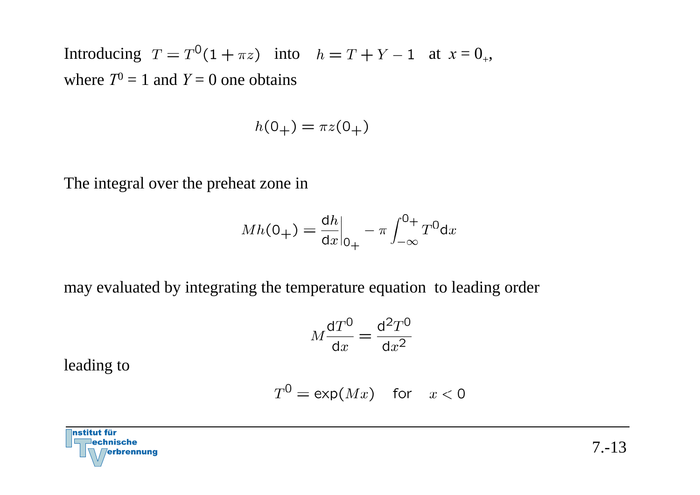Introducing  $T = T^0(1 + \pi z)$  into  $h = T + Y - 1$  at  $x = 0_+$ , where  $T^0 = 1$  and  $Y = 0$  one obtains

$$
h(0_+) = \pi z(0_+)
$$

The integral over the preheat zone in

$$
Mh(0_{+}) = \frac{dh}{dx}\Big|_{0_{+}} - \pi \int_{-\infty}^{0_{+}} T^{0} dx
$$

may evaluated by integrating the temperature equation to leading order

$$
M\frac{\mathrm{d}T^0}{\mathrm{d}x} = \frac{\mathrm{d}^2T^0}{\mathrm{d}x^2}
$$

leading to

$$
T^0 = \exp(Mx) \quad \text{for} \quad x < 0
$$

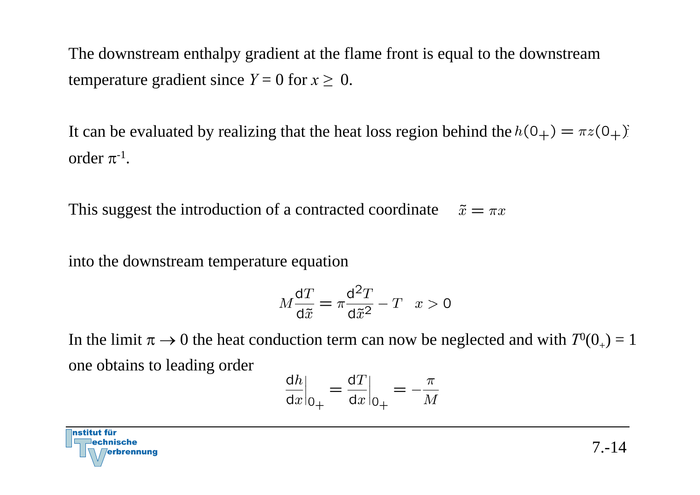The downstream enthalpy gradient at the flame front is equal to the downstream temperature gradient since  $Y = 0$  for  $x \ge 0$ .

It can be evaluated by realizing that the heat loss region behind the  $h(0_+) = \pi z(0_+)$ . order  $\pi$ <sup>-1</sup>.

This suggest the introduction of a contracted coordinate  $\tilde{x} = \pi x$ 

into the downstream temperature equation

$$
M\frac{\mathrm{d}T}{\mathrm{d}\tilde{x}} = \pi \frac{\mathrm{d}^2 T}{\mathrm{d}\tilde{x}^2} - T \quad x > 0
$$

In the limit  $\pi \rightarrow 0$  the heat conduction term can now be neglected and with  $T^0(0_+) = 1$ one obtains to leading order

$$
\left. \frac{\mathrm{d}h}{\mathrm{d}x} \right|_{0+} = \left. \frac{\mathrm{d}T}{\mathrm{d}x} \right|_{0+} = -\frac{\pi}{M}
$$

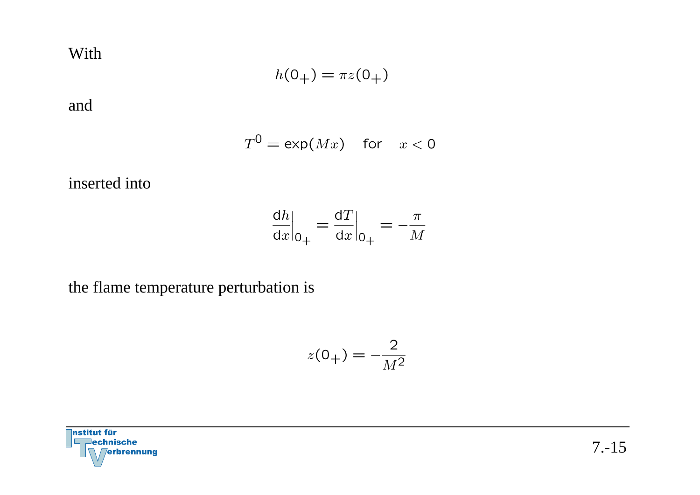With

$$
h(0_+) = \pi z(0_+)
$$

and

$$
T^0 = \exp(Mx) \quad \text{for} \quad x < 0
$$

inserted into

$$
\left. \frac{\mathrm{d}h}{\mathrm{d}x} \right|_{0+} = \left. \frac{\mathrm{d}T}{\mathrm{d}x} \right|_{0+} = -\frac{\pi}{M}
$$

the flame temperature perturbation is

$$
z(0_+) = -\frac{2}{M^2}
$$

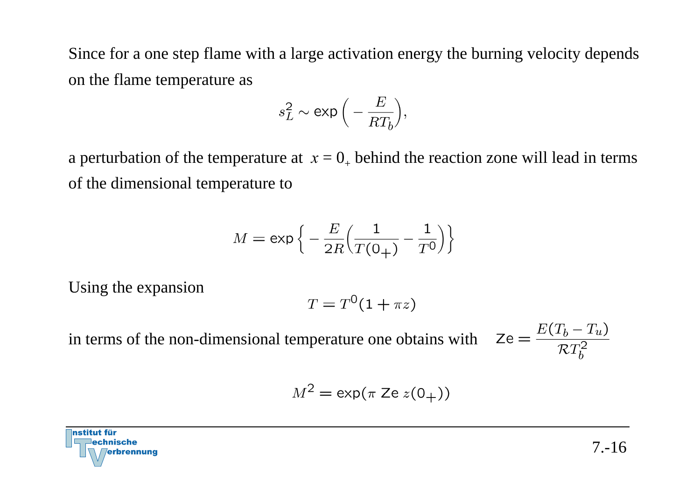Since for a one step flame with a large activation energy the burning velocity depends on the flame temperature as

$$
s_L^2 \sim \exp\Big(-\frac{E}{RT_b}\Big),
$$

a perturbation of the temperature at  $x=0_+$  behind the reaction zone will lead in terms of the dimensional temperature to

$$
M = \exp\left\{-\frac{E}{2R} \Big(\frac{1}{T(0_+)} - \frac{1}{T^0}\Big)\right\}
$$

Using the expansion

$$
T = T^0(1 + \pi z)
$$

in terms of the non-dimensional temperature one obtains with  $\mathbb{Z}$ 

$$
\mathsf{Ze} = \frac{E(T_b - T_u)}{\mathcal{RT}_b^2}
$$

$$
M^2 = \exp(\pi \operatorname{Ze} z(0_+))
$$

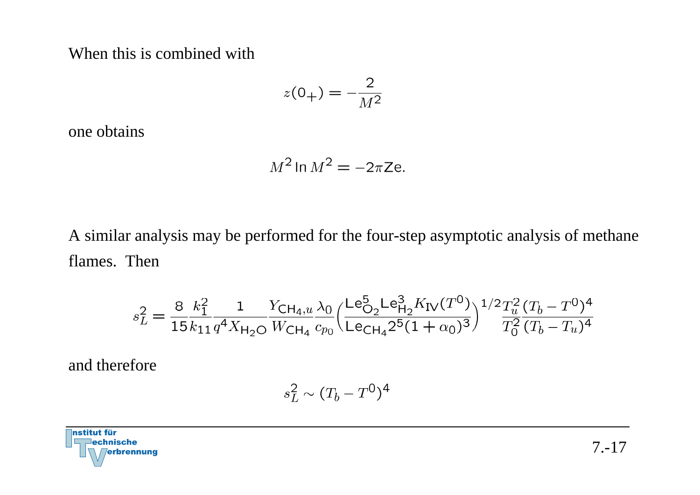When this is combined with

$$
z(0_+) = -\frac{2}{M^2}
$$

one obtains

$$
M^2 \ln M^2 = -2\pi \text{Ze}.
$$

A similar analysis may be performed for the four-step asymptotic analysis of methane flames. Then

$$
s_L^2 = \frac{8}{15} \frac{k_1^2}{k_{11}} \frac{1}{q^4 X_{\text{H}_2\text{O}}} \frac{Y_{\text{CH}_4,u}}{W_{\text{CH}_4}} \frac{\lambda_0}{c_{p_0}} \Big( \frac{\text{Le}_{\text{O}_2}^5 \text{Le}_{\text{H}_2}^3 K_{\text{IV}}(T^0)}{\text{Le}_{\text{CH}_4} 2^5 (1 + \alpha_0)^3} \Big)^{1/2} \frac{T_u^2}{T_0^2} \frac{(T_b - T^0)^4}{(T_b - T_u)^4}
$$

and therefore

$$
s_L^2 \sim (T_b - T^0)^4
$$

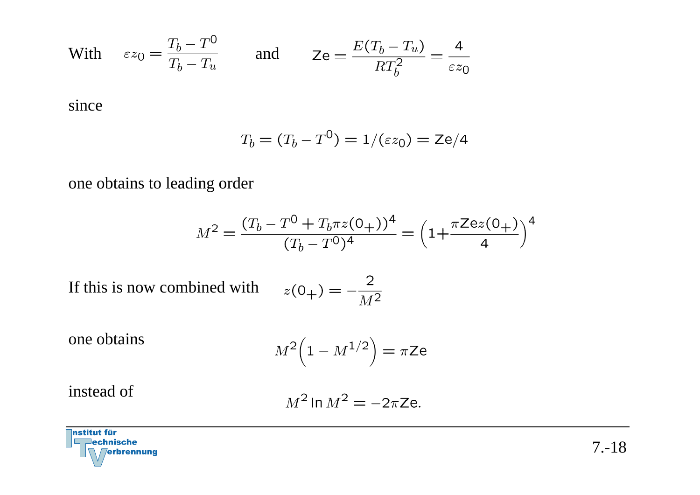With 
$$
\varepsilon z_0 = \frac{T_b - T^0}{T_b - T_u}
$$
 and  $Z_e = \frac{E(T_b - T_u)}{RT_b^2} = \frac{4}{\varepsilon z_0}$ 

since

$$
T_b = (T_b - T^0) = 1/(\varepsilon z_0) = \text{Ze}/4
$$

one obtains to leading order

$$
M^{2} = \frac{(T_{b} - T^{0} + T_{b}\pi z(0_{+}))^{4}}{(T_{b} - T^{0})^{4}} = \left(1 + \frac{\pi Zez(0_{+})}{4}\right)^{4}
$$

If this is now combined with

$$
z(0_+) = -\frac{2}{M^2}
$$

one obtains

$$
M^2\Big(1 - M^{1/2}\Big) = \pi \mathsf{Ze}
$$

instead of

$$
M^2 \ln M^2 = -2\pi \text{Ze}.
$$

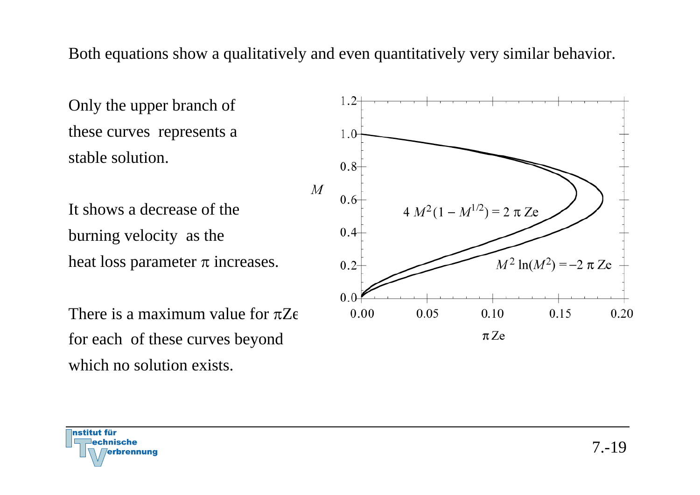Both equations show a qualitatively and even quantitatively very similar behavior.

Only the upper branch of these curves represents a stable solution.

It shows a decrease of the burning velocity as the heat loss parameter π increases.

There is a maximum value for πZefor each of these curves beyond which no solution exists.